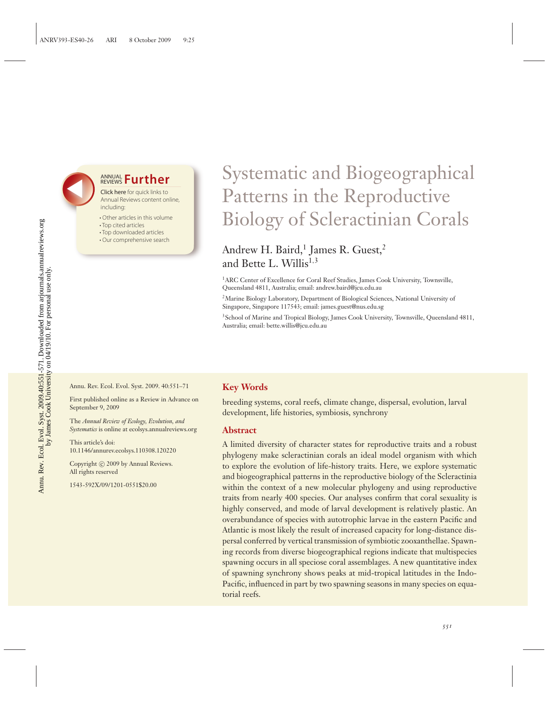# **ANNUAL Further**

Click here for quick links to Annual Reviews content online, including:

- Other articles in this volume
- Top cited articles
- Top downloaded articles
- Our comprehensive search

# Systematic and Biogeographical Patterns in the Reproductive Biology of Scleractinian Corals

## Andrew H. Baird,<sup>1</sup> James R. Guest,<sup>2</sup> and Bette L. Willis<sup>1,3</sup>

<sup>1</sup>ARC Center of Excellence for Coral Reef Studies, James Cook University, Townsville, Queensland 4811, Australia; email: andrew.baird@jcu.edu.au

2Marine Biology Laboratory, Department of Biological Sciences, National University of Singapore, Singapore 117543; email: james.guest@nus.edu.sg

<sup>3</sup> School of Marine and Tropical Biology, James Cook University, Townsville, Queensland 4811, Australia; email: bette.willis@jcu.edu.au

Annu. Rev. Ecol. Evol. Syst. 2009. 40:551–71

First published online as a Review in Advance on September 9, 2009

The *Annual Review of Ecology, Evolution, and Systematics* is online at ecolsys.annualreviews.org

This article's doi: 10.1146/annurev.ecolsys.110308.120220

Copyright © 2009 by Annual Reviews. All rights reserved

1543-592X/09/1201-0551\$20.00

#### **Key Words**

breeding systems, coral reefs, climate change, dispersal, evolution, larval development, life histories, symbiosis, synchrony

#### **Abstract**

A limited diversity of character states for reproductive traits and a robust phylogeny make scleractinian corals an ideal model organism with which to explore the evolution of life-history traits. Here, we explore systematic and biogeographical patterns in the reproductive biology of the Scleractinia within the context of a new molecular phylogeny and using reproductive traits from nearly 400 species. Our analyses confirm that coral sexuality is highly conserved, and mode of larval development is relatively plastic. An overabundance of species with autotrophic larvae in the eastern Pacific and Atlantic is most likely the result of increased capacity for long-distance dispersal conferred by vertical transmission of symbiotic zooxanthellae. Spawning records from diverse biogeographical regions indicate that multispecies spawning occurs in all speciose coral assemblages. A new quantitative index of spawning synchrony shows peaks at mid-tropical latitudes in the Indo-Pacific, influenced in part by two spawning seasons in many species on equatorial reefs.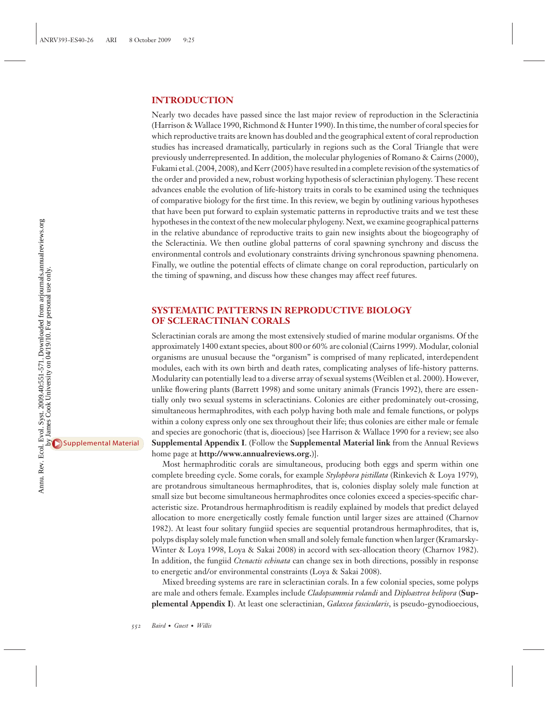#### **INTRODUCTION**

Nearly two decades have passed since the last major review of reproduction in the Scleractinia (Harrison & Wallace 1990, Richmond & Hunter 1990). In this time, the number of coral species for which reproductive traits are known has doubled and the geographical extent of coral reproduction studies has increased dramatically, particularly in regions such as the Coral Triangle that were previously underrepresented. In addition, the molecular phylogenies of Romano & Cairns (2000), Fukami et al. (2004, 2008), and Kerr (2005) have resulted in a complete revision of the systematics of the order and provided a new, robust working hypothesis of scleractinian phylogeny. These recent advances enable the evolution of life-history traits in corals to be examined using the techniques of comparative biology for the first time. In this review, we begin by outlining various hypotheses that have been put forward to explain systematic patterns in reproductive traits and we test these hypotheses in the context of the new molecular phylogeny. Next, we examine geographical patterns in the relative abundance of reproductive traits to gain new insights about the biogeography of the Scleractinia. We then outline global patterns of coral spawning synchrony and discuss the environmental controls and evolutionary constraints driving synchronous spawning phenomena. Finally, we outline the potential effects of climate change on coral reproduction, particularly on the timing of spawning, and discuss how these changes may affect reef futures.

#### **SYSTEMATIC PATTERNS IN REPRODUCTIVE BIOLOGY OF SCLERACTINIAN CORALS**

Scleractinian corals are among the most extensively studied of marine modular organisms. Of the approximately 1400 extant species, about 800 or 60% are colonial (Cairns 1999). Modular, colonial organisms are unusual because the "organism" is comprised of many replicated, interdependent modules, each with its own birth and death rates, complicating analyses of life-history patterns. Modularity can potentially lead to a diverse array of sexual systems (Weiblen et al. 2000). However, unlike flowering plants (Barrett 1998) and some unitary animals (Francis 1992), there are essentially only two sexual systems in scleractinians. Colonies are either predominately out-crossing, simultaneous hermaphrodites, with each polyp having both male and female functions, or polyps within a colony express only one sex throughout their life; thus colonies are either male or female and species are gonochoric (that is, dioecious) [see Harrison & Wallace 1990 for a review; see also **Supplemental Appendix I**. (Follow the **Supplemental Material link** from the Annual Reviews home page at **http://www.annualreviews.org.**)].

Most hermaphroditic corals are simultaneous, producing both eggs and sperm within one complete breeding cycle. Some corals, for example *Stylophora pistillata* (Rinkevich & Loya 1979)*,* are protandrous simultaneous hermaphrodites, that is, colonies display solely male function at small size but become simultaneous hermaphrodites once colonies exceed a species-specific characteristic size. Protandrous hermaphroditism is readily explained by models that predict delayed allocation to more energetically costly female function until larger sizes are attained (Charnov 1982). At least four solitary fungiid species are sequential protandrous hermaphrodites, that is, polyps display solely male function when small and solely female function when larger (Kramarsky-Winter & Loya 1998, Loya & Sakai 2008) in accord with sex-allocation theory (Charnov 1982). In addition, the fungiid *Ctenactis echinata* can change sex in both directions, possibly in response to energetic and/or environmental constraints (Loya & Sakai 2008).

Mixed breeding systems are rare in scleractinian corals. In a few colonial species, some polyps are male and others female. Examples include *Cladopsammia rolandi* and *Diploastrea helipora* (**Supplemental Appendix I**). At least one scleractinian, *Galaxea fascicularis*, is pseudo-gynodioecious,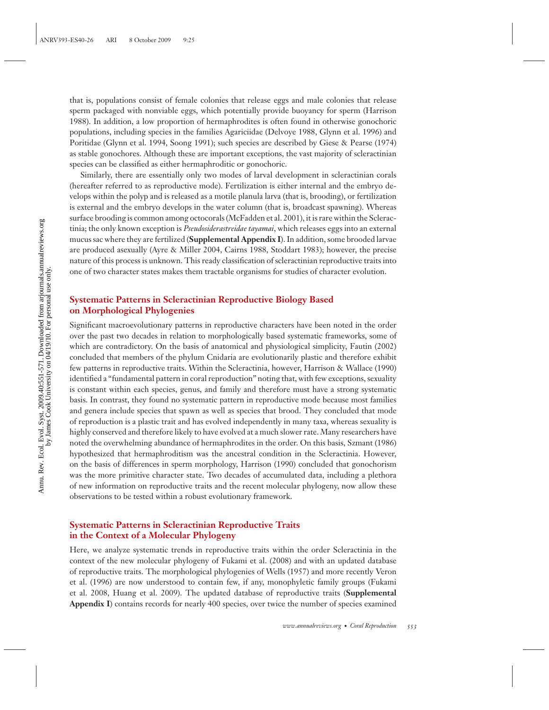that is, populations consist of female colonies that release eggs and male colonies that release sperm packaged with nonviable eggs, which potentially provide buoyancy for sperm (Harrison 1988). In addition, a low proportion of hermaphrodites is often found in otherwise gonochoric populations, including species in the families Agariciidae (Delvoye 1988, Glynn et al. 1996) and Poritidae (Glynn et al. 1994, Soong 1991); such species are described by Giese & Pearse (1974) as stable gonochores. Although these are important exceptions, the vast majority of scleractinian species can be classified as either hermaphroditic or gonochoric.

Similarly, there are essentially only two modes of larval development in scleractinian corals (hereafter referred to as reproductive mode). Fertilization is either internal and the embryo develops within the polyp and is released as a motile planula larva (that is, brooding), or fertilization is external and the embryo develops in the water column (that is, broadcast spawning). Whereas surface brooding is common among octocorals (McFadden et al. 2001), it is rare within the Scleractinia; the only known exception is *Pseudosiderastreidae tayamai*, which releases eggs into an external mucus sac where they are fertilized (**Supplemental Appendix I**). In addition, some brooded larvae are produced asexually (Ayre & Miller 2004, Cairns 1988, Stoddart 1983); however, the precise nature of this process is unknown. This ready classification of scleractinian reproductive traits into one of two character states makes them tractable organisms for studies of character evolution.

#### **Systematic Patterns in Scleractinian Reproductive Biology Based on Morphological Phylogenies**

Significant macroevolutionary patterns in reproductive characters have been noted in the order over the past two decades in relation to morphologically based systematic frameworks, some of which are contradictory. On the basis of anatomical and physiological simplicity, Fautin (2002) concluded that members of the phylum Cnidaria are evolutionarily plastic and therefore exhibit few patterns in reproductive traits. Within the Scleractinia, however, Harrison & Wallace (1990) identified a "fundamental pattern in coral reproduction" noting that, with few exceptions, sexuality is constant within each species, genus, and family and therefore must have a strong systematic basis. In contrast, they found no systematic pattern in reproductive mode because most families and genera include species that spawn as well as species that brood. They concluded that mode of reproduction is a plastic trait and has evolved independently in many taxa, whereas sexuality is highly conserved and therefore likely to have evolved at a much slower rate. Many researchers have noted the overwhelming abundance of hermaphrodites in the order. On this basis, Szmant (1986) hypothesized that hermaphroditism was the ancestral condition in the Scleractinia. However, on the basis of differences in sperm morphology, Harrison (1990) concluded that gonochorism was the more primitive character state. Two decades of accumulated data, including a plethora of new information on reproductive traits and the recent molecular phylogeny, now allow these observations to be tested within a robust evolutionary framework.

#### **Systematic Patterns in Scleractinian Reproductive Traits in the Context of a Molecular Phylogeny**

Here, we analyze systematic trends in reproductive traits within the order Scleractinia in the context of the new molecular phylogeny of Fukami et al. (2008) and with an updated database of reproductive traits. The morphological phylogenies of Wells (1957) and more recently Veron et al. (1996) are now understood to contain few, if any, monophyletic family groups (Fukami et al. 2008, Huang et al. 2009). The updated database of reproductive traits (**Supplemental Appendix I**) contains records for nearly 400 species, over twice the number of species examined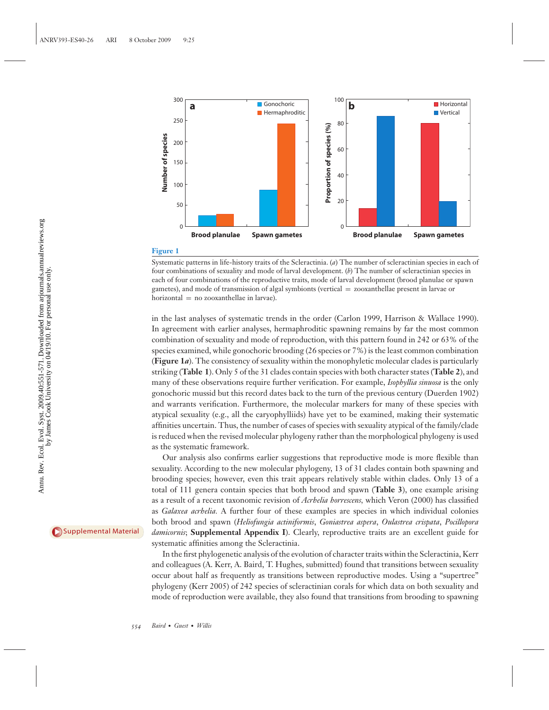

#### **Figure 1**

Systematic patterns in life-history traits of the Scleractinia. (*a*) The number of scleractinian species in each of four combinations of sexuality and mode of larval development. (*b*) The number of scleractinian species in each of four combinations of the reproductive traits, mode of larval development (brood planulae or spawn gametes), and mode of transmission of algal symbionts (vertical = zooxanthellae present in larvae or horizontal = no zooxanthellae in larvae).

in the last analyses of systematic trends in the order (Carlon 1999, Harrison & Wallace 1990). In agreement with earlier analyses, hermaphroditic spawning remains by far the most common combination of sexuality and mode of reproduction, with this pattern found in 242 or 63% of the species examined, while gonochoric brooding (26 species or 7%) is the least common combination (**Figure 1***a*). The consistency of sexuality within the monophyletic molecular clades is particularly striking (**Table 1**). Only 5 of the 31 clades contain species with both character states (**Table 2**), and many of these observations require further verification. For example, *Isophyllia sinuosa* is the only gonochoric mussid but this record dates back to the turn of the previous century (Duerden 1902) and warrants verification. Furthermore, the molecular markers for many of these species with atypical sexuality (e.g., all the caryophylliids) have yet to be examined, making their systematic affinities uncertain. Thus, the number of cases of species with sexuality atypical of the family/clade is reduced when the revised molecular phylogeny rather than the morphological phylogeny is used as the systematic framework.

Our analysis also confirms earlier suggestions that reproductive mode is more flexible than sexuality. According to the new molecular phylogeny, 13 of 31 clades contain both spawning and brooding species; however, even this trait appears relatively stable within clades. Only 13 of a total of 111 genera contain species that both brood and spawn (**Table 3**), one example arising as a result of a recent taxonomic revision of *Acrhelia horrescens,* which Veron (2000) has classified as *Galaxea acrhelia.* A further four of these examples are species in which individual colonies both brood and spawn (*Heliofungia actiniformis*, *Goniastrea aspera*, *Oulastrea crispata*, *Pocillopora damicornis*; **Supplemental Appendix I**). Clearly, reproductive traits are an excellent guide for systematic affinities among the Scleractinia.

In the first phylogenetic analysis of the evolution of character traits within the Scleractinia, Kerr and colleagues (A. Kerr, A. Baird, T. Hughes, submitted) found that transitions between sexuality occur about half as frequently as transitions between reproductive modes. Using a "supertree" phylogeny (Kerr 2005) of 242 species of scleractinian corals for which data on both sexuality and mode of reproduction were available, they also found that transitions from brooding to spawning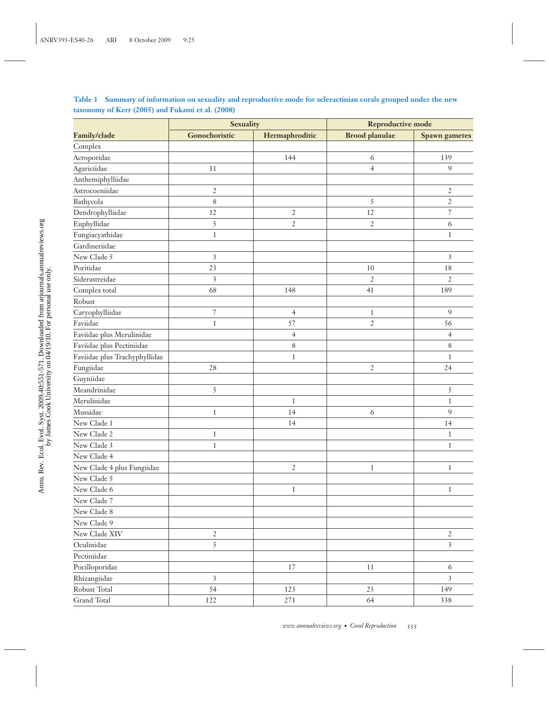| Table 1 Summary of information on sexuality and reproductive mode for scleractinian corals grouped under the new |
|------------------------------------------------------------------------------------------------------------------|
| taxonomy of Kerr (2005) and Fukami et al. (2008)                                                                 |

|                               | <b>Sexuality</b>         |                | <b>Reproductive mode</b> |                          |  |
|-------------------------------|--------------------------|----------------|--------------------------|--------------------------|--|
| Family/clade                  | Gonochoristic            | Hermaphroditic | <b>Brood planulae</b>    | <b>Spawn</b> gametes     |  |
| Complex                       |                          |                |                          |                          |  |
| Acroporidae                   |                          | 144            | 6                        | 139                      |  |
| Agariciidae                   | 11                       |                | $\overline{4}$           | 9                        |  |
| Anthemiphylliidae             |                          |                |                          |                          |  |
| Astrocoeniidae                | $\overline{c}$           |                |                          | $\overline{2}$           |  |
| Bathycola                     | $\,$ $\,$                |                | $\sqrt{5}$               | $\overline{c}$           |  |
| Dendrophylliidae              | 12                       | $\overline{2}$ | 12                       | $\overline{\phantom{a}}$ |  |
| Euphyllidae                   | 5                        | $\overline{2}$ | $\overline{2}$           | 6                        |  |
| Fungiacyathidae               | $\mathbf{1}$             |                |                          | 1                        |  |
| Gardineriidae                 |                          |                |                          |                          |  |
| New Clade 5                   | 3                        |                |                          | 3                        |  |
| Poritidae                     | 23                       |                | 10                       | 18                       |  |
| Siderastreidae                | 3                        |                | $\mathfrak{2}$           | $\overline{2}$           |  |
| Complex total                 | 68                       | 148            | 41                       | 189                      |  |
| Robust                        |                          |                |                          |                          |  |
| Caryophylliidae               | $\overline{\phantom{a}}$ | $\overline{4}$ | $\mathbf{1}$             | $\overline{9}$           |  |
| Faviidae                      | $\mathbf{1}$             | 57             | $\mathfrak{2}$           | 56                       |  |
| Faviidae plus Merulinidae     |                          | $\overline{4}$ |                          | 4                        |  |
| Faviidae plus Pectiniidae     |                          | $\,8$          |                          | $\,8\,$                  |  |
| Faviidae plus Trachyphyllidae |                          | $\mathbf 1$    |                          | $\,1$                    |  |
| Fungiidae                     | $2\,8$                   |                | $\overline{2}$           | 24                       |  |
| Guyniidae                     |                          |                |                          |                          |  |
| Meandrinidae                  | 5                        |                |                          | $\sqrt{5}$               |  |
| Merulinidae                   |                          | $\mathbf{1}$   |                          | $\mathbf{1}$             |  |
| Mussidae                      | $\mathbf{1}$             | 14             | 6                        | 9                        |  |
| New Clade 1                   |                          | 14             |                          | 14                       |  |
| New Clade 2                   | 1                        |                |                          | 1                        |  |
| New Clade 3                   | $\mathbf{1}$             |                |                          | $\mathbf{1}$             |  |
| New Clade 4                   |                          |                |                          |                          |  |
| New Clade 4 plus Fungiidae    |                          | $\overline{2}$ | 1                        | 1                        |  |
| New Clade 5                   |                          |                |                          |                          |  |
| New Clade 6                   |                          | $\mathbf{1}$   |                          | 1                        |  |
| New Clade 7                   |                          |                |                          |                          |  |
| New Clade 8                   |                          |                |                          |                          |  |
| New Clade 9                   |                          |                |                          |                          |  |
| New Clade XIV                 | $\overline{c}$           |                |                          | $\boldsymbol{2}$         |  |
| Oculinidae                    | 5                        |                |                          | $\overline{\mathbf{3}}$  |  |
| Pectiniidae                   |                          |                |                          |                          |  |
| Pocilloporidae                |                          | $17\,$         | 11                       | 6                        |  |
| Rhizangiidae                  | $\overline{3}$           |                |                          | $\overline{\mathbf{3}}$  |  |
| Robust Total                  | 54                       | 123            | 23                       | 149                      |  |
| Grand Total                   | $122\,$                  | $2\,7\,1$      | 64                       | 338                      |  |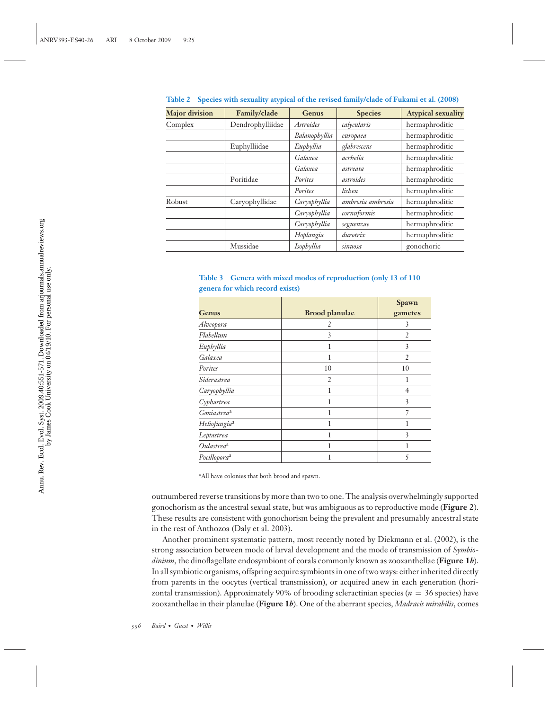| <b>Major</b> division | Family/clade     | Genus            | <b>Species</b>    | <b>Atypical sexuality</b> |
|-----------------------|------------------|------------------|-------------------|---------------------------|
| Complex               | Dendrophylliidae | <i>Astroides</i> | calycularis       | hermaphroditic            |
|                       |                  | Balanophyllia    | europaea          | hermaphroditic            |
|                       | Euphylliidae     | Euphyllia        | glabrescens       | hermaphroditic            |
|                       |                  | Galaxea          | acrhelia          | hermaphroditic            |
|                       |                  | Galaxea          | astreata          | hermaphroditic            |
|                       | Poritidae        | Porites          | astroides         | hermaphroditic            |
|                       |                  | Porites          | lichen            | hermaphroditic            |
| Robust                | Caryophyllidae   | Caryophyllia     | ambrosia ambrosia | hermaphroditic            |
|                       |                  | Caryophyllia     | cornuformis       | hermaphroditic            |
|                       |                  | Caryophyllia     | seguenzae         | hermaphroditic            |
|                       |                  | Hoplangia        | durotrix          | hermaphroditic            |
|                       | Mussidae         | Isophyllia       | sinuosa           | gonochoric                |

**Table 2 Species with sexuality atypical of the revised family/clade of Fukami et al. (2008)**

|  | Table 3 Genera with mixed modes of reproduction (only 13 of 110 |  |  |  |
|--|-----------------------------------------------------------------|--|--|--|
|  | genera for which record exists)                                 |  |  |  |

|                          |                       | Spawn          |
|--------------------------|-----------------------|----------------|
| Genus                    | <b>Brood planulae</b> | gametes        |
| Alveopora                | 2                     | 3              |
| Flabellum                | 3                     | $\overline{2}$ |
| Euphyllia                |                       | 3              |
| Galaxea                  |                       | $\overline{2}$ |
| Porites                  | 10                    | 10             |
| Siderastrea              | $\overline{2}$        |                |
| Caryophyllia             |                       | $\overline{4}$ |
| Cyphastrea               |                       | 3              |
| Goniastrea <sup>a</sup>  |                       |                |
| Heliofungia <sup>a</sup> |                       |                |
| Leptastrea               |                       | 3              |
| Oulastrea <sup>a</sup>   |                       |                |
| Pocillopora <sup>a</sup> |                       | 5              |

<sup>a</sup>All have colonies that both brood and spawn.

outnumbered reverse transitions by more than two to one. The analysis overwhelmingly supported gonochorism as the ancestral sexual state, but was ambiguous as to reproductive mode (**Figure 2**). These results are consistent with gonochorism being the prevalent and presumably ancestral state in the rest of Anthozoa (Daly et al. 2003).

Another prominent systematic pattern, most recently noted by Diekmann et al. (2002), is the strong association between mode of larval development and the mode of transmission of *Symbiodinium,* the dinoflagellate endosymbiont of corals commonly known as zooxanthellae (**Figure 1***b*). In all symbiotic organisms, offspring acquire symbionts in one of two ways: either inherited directly from parents in the oocytes (vertical transmission), or acquired anew in each generation (horizontal transmission). Approximately 90% of brooding scleractinian species ( $n = 36$  species) have zooxanthellae in their planulae (**Figure 1***b*). One of the aberrant species, *Madracis mirabilis*, comes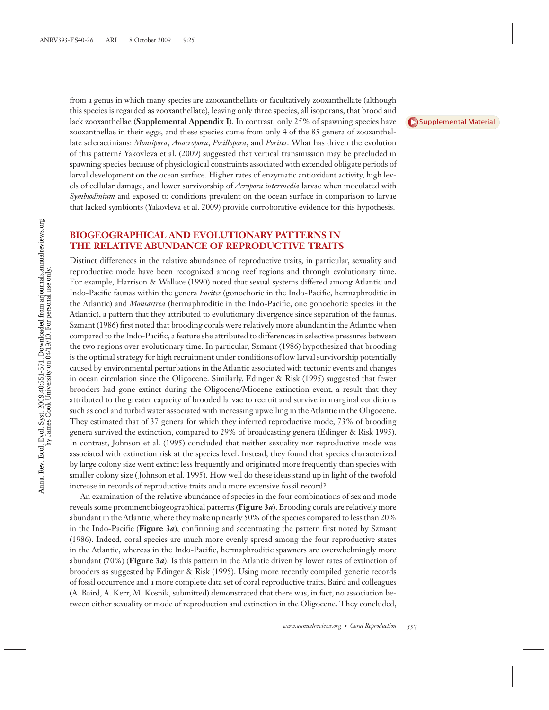from a genus in which many species are azooxanthellate or facultatively zooxanthellate (although this species is regarded as zooxanthellate), leaving only three species, all isoporans, that brood and lack zooxanthellae (**Supplemental Appendix I**). In contrast, only 25% of spawning species have zooxanthellae in their eggs, and these species come from only 4 of the 85 genera of zooxanthellate scleractinians: *Montipora*, *Anacropora*, *Pocillopora*, and *Porites*. What has driven the evolution of this pattern? Yakovleva et al. (2009) suggested that vertical transmission may be precluded in spawning species because of physiological constraints associated with extended obligate periods of larval development on the ocean surface. Higher rates of enzymatic antioxidant activity, high levels of cellular damage, and lower survivorship of *Acropora intermedia* larvae when inoculated with *Symbiodinium* and exposed to conditions prevalent on the ocean surface in comparison to larvae that lacked symbionts (Yakovleva et al. 2009) provide corroborative evidence for this hypothesis.

### **BIOGEOGRAPHICAL AND EVOLUTIONARY PATTERNS IN THE RELATIVE ABUNDANCE OF REPRODUCTIVE TRAITS**

Distinct differences in the relative abundance of reproductive traits, in particular, sexuality and reproductive mode have been recognized among reef regions and through evolutionary time. For example, Harrison & Wallace (1990) noted that sexual systems differed among Atlantic and Indo-Pacific faunas within the genera *Porites* (gonochoric in the Indo-Pacific, hermaphroditic in the Atlantic) and *Montastrea* (hermaphroditic in the Indo-Pacific, one gonochoric species in the Atlantic), a pattern that they attributed to evolutionary divergence since separation of the faunas. Szmant (1986) first noted that brooding corals were relatively more abundant in the Atlantic when compared to the Indo-Pacific, a feature she attributed to differences in selective pressures between the two regions over evolutionary time. In particular, Szmant (1986) hypothesized that brooding is the optimal strategy for high recruitment under conditions of low larval survivorship potentially caused by environmental perturbations in the Atlantic associated with tectonic events and changes in ocean circulation since the Oligocene. Similarly, Edinger & Risk (1995) suggested that fewer brooders had gone extinct during the Oligocene/Miocene extinction event, a result that they attributed to the greater capacity of brooded larvae to recruit and survive in marginal conditions such as cool and turbid water associated with increasing upwelling in the Atlantic in the Oligocene. They estimated that of 37 genera for which they inferred reproductive mode, 73% of brooding genera survived the extinction, compared to 29% of broadcasting genera (Edinger & Risk 1995). In contrast, Johnson et al. (1995) concluded that neither sexuality nor reproductive mode was associated with extinction risk at the species level. Instead, they found that species characterized by large colony size went extinct less frequently and originated more frequently than species with smaller colony size ( Johnson et al. 1995). How well do these ideas stand up in light of the twofold increase in records of reproductive traits and a more extensive fossil record?

An examination of the relative abundance of species in the four combinations of sex and mode reveals some prominent biogeographical patterns (**Figure 3***a*). Brooding corals are relatively more abundant in the Atlantic, where they make up nearly 50% of the species compared to less than 20% in the Indo-Pacific (**Figure 3***a*), confirming and accentuating the pattern first noted by Szmant (1986). Indeed, coral species are much more evenly spread among the four reproductive states in the Atlantic, whereas in the Indo-Pacific, hermaphroditic spawners are overwhelmingly more abundant (70%) (**Figure 3***a*). Is this pattern in the Atlantic driven by lower rates of extinction of brooders as suggested by Edinger & Risk (1995). Using more recently compiled generic records of fossil occurrence and a more complete data set of coral reproductive traits, Baird and colleagues (A. Baird, A. Kerr, M. Kosnik, submitted) demonstrated that there was, in fact, no association between either sexuality or mode of reproduction and extinction in the Oligocene. They concluded,

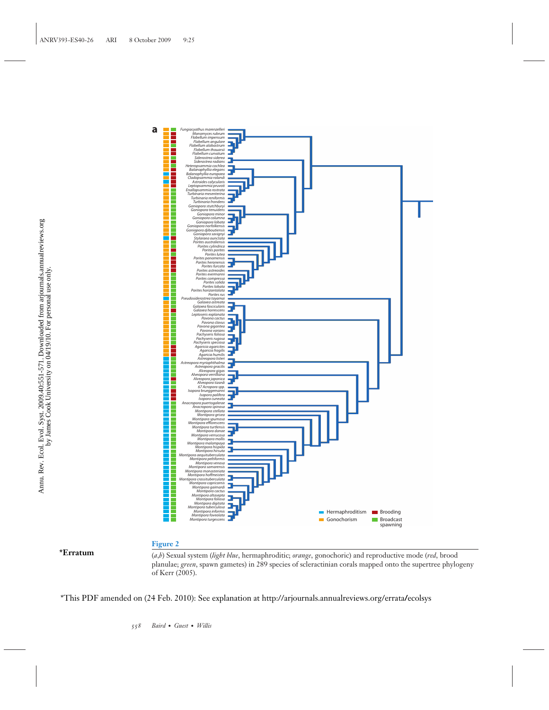

**\*Erratum**

#### **Figure 2**

(*a*,*b*) Sexual system (*light blue*, hermaphroditic; *orange*, gonochoric) and reproductive mode (*red*, brood planulae; *green*, spawn gametes) in 289 species of scleractinian corals mapped onto the supertree phylogeny of Kerr (2005).

\*This PDF amended on (24 [Feb. 2010\): See explanation at http://arjournals.annualreviews.org/errata](http://arjournals.annualreviews.org/doi/full/10.1146/annurev.es.40.022410.200001)**/**ecolsys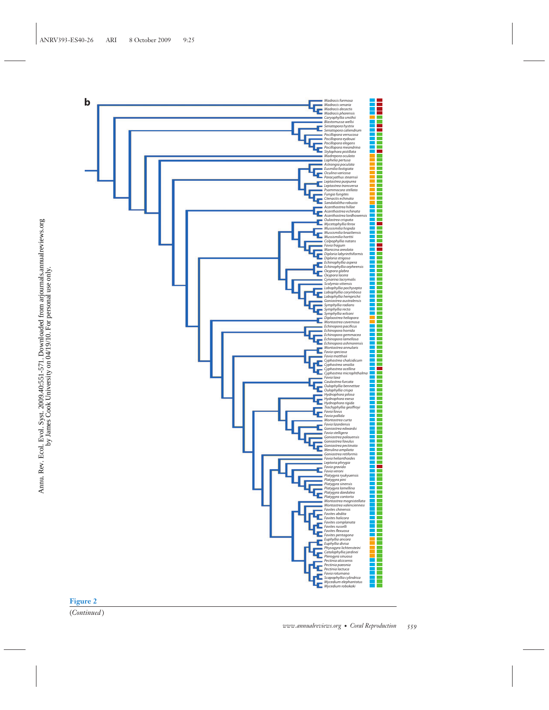

Annu. Rev. Ecol. Evol. Syst. 2009.40:551-571. Downloaded from arjournals.annualreviews.org by James Cook University on 04/19/10. For personal use only.

Annu. Rev. Ecol. Evol. Syst. 2009.40:551-571. Downloaded from arjournals.annualreviews.org<br>by James Cook University on 04/19/10. For personal use only.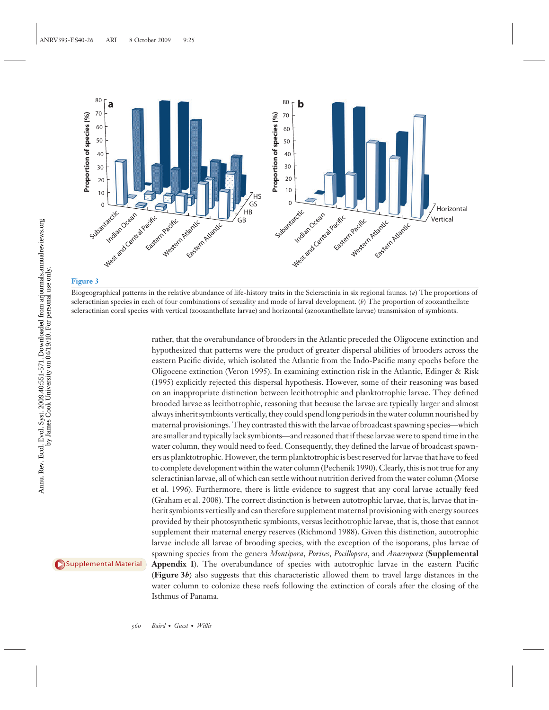

#### **Figure 3**

Biogeographical patterns in the relative abundance of life-history traits in the Scleractinia in six regional faunas. (*a*) The proportions of scleractinian species in each of four combinations of sexuality and mode of larval development. (*b*) The proportion of zooxanthellate scleractinian coral species with vertical (zooxanthellate larvae) and horizontal (azooxanthellate larvae) transmission of symbionts.

rather, that the overabundance of brooders in the Atlantic preceded the Oligocene extinction and hypothesized that patterns were the product of greater dispersal abilities of brooders across the eastern Pacific divide, which isolated the Atlantic from the Indo-Pacific many epochs before the Oligocene extinction (Veron 1995). In examining extinction risk in the Atlantic, Edinger & Risk (1995) explicitly rejected this dispersal hypothesis. However, some of their reasoning was based on an inappropriate distinction between lecithotrophic and planktotrophic larvae. They defined brooded larvae as lecithotrophic, reasoning that because the larvae are typically larger and almost always inherit symbionts vertically, they could spend long periods in the water column nourished by maternal provisionings. They contrasted this with the larvae of broadcast spawning species—which are smaller and typically lack symbionts—and reasoned that if these larvae were to spend time in the water column, they would need to feed. Consequently, they defined the larvae of broadcast spawners as planktotrophic. However, the term planktotrophic is best reserved for larvae that have to feed to complete development within the water column (Pechenik 1990). Clearly, this is not true for any scleractinian larvae, all of which can settle without nutrition derived from the water column (Morse et al. 1996). Furthermore, there is little evidence to suggest that any coral larvae actually feed (Graham et al. 2008). The correct distinction is between autotrophic larvae, that is, larvae that inherit symbionts vertically and can therefore supplement maternal provisioning with energy sources provided by their photosynthetic symbionts, versus lecithotrophic larvae, that is, those that cannot supplement their maternal energy reserves (Richmond 1988). Given this distinction, autotrophic larvae include all larvae of brooding species, with the exception of the isoporans, plus larvae of spawning species from the genera *Montipora*, *Porites*, *Pocillopora*, and *Anacropora* (**Supplemental Appendix I**). The overabundance of species with autotrophic larvae in the eastern Pacific (**Figure 3***b*) also suggests that this characteristic allowed them to travel large distances in the water column to colonize these reefs following the extinction of corals after the closing of the Isthmus of Panama.

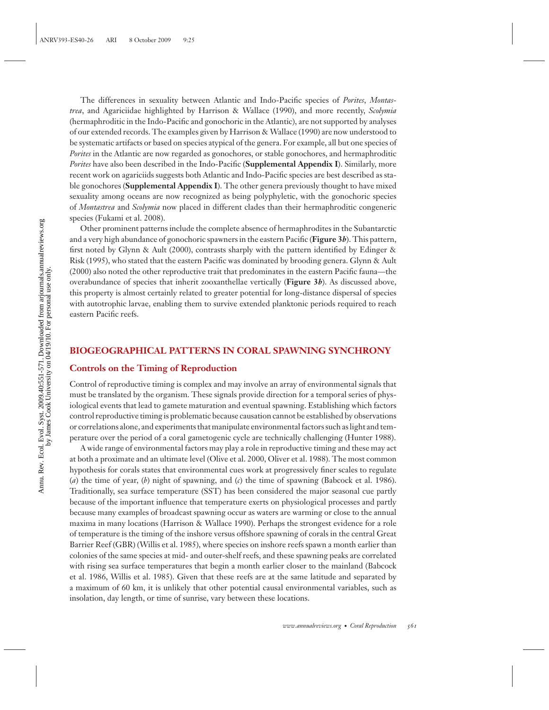The differences in sexuality between Atlantic and Indo-Pacific species of *Porites*, *Montastrea*, and Agariciidae highlighted by Harrison & Wallace (1990), and more recently, *Scolymia* (hermaphroditic in the Indo-Pacific and gonochoric in the Atlantic), are not supported by analyses of our extended records. The examples given by Harrison & Wallace (1990) are now understood to be systematic artifacts or based on species atypical of the genera. For example, all but one species of *Porites* in the Atlantic are now regarded as gonochores, or stable gonochores, and hermaphroditic *Porites* have also been described in the Indo-Pacific (**Supplemental Appendix I**). Similarly, more recent work on agariciids suggests both Atlantic and Indo-Pacific species are best described as stable gonochores (**Supplemental Appendix I**). The other genera previously thought to have mixed sexuality among oceans are now recognized as being polyphyletic, with the gonochoric species of *Montastrea* and *Scolymia* now placed in different clades than their hermaphroditic congeneric species (Fukami et al. 2008).

Other prominent patterns include the complete absence of hermaphrodites in the Subantarctic and a very high abundance of gonochoric spawners in the eastern Pacific (**Figure 3***b*). This pattern, first noted by Glynn & Ault (2000), contrasts sharply with the pattern identified by Edinger & Risk (1995), who stated that the eastern Pacific was dominated by brooding genera. Glynn & Ault (2000) also noted the other reproductive trait that predominates in the eastern Pacific fauna—the overabundance of species that inherit zooxanthellae vertically (**Figure 3***b*). As discussed above, this property is almost certainly related to greater potential for long-distance dispersal of species with autotrophic larvae, enabling them to survive extended planktonic periods required to reach eastern Pacific reefs.

#### **BIOGEOGRAPHICAL PATTERNS IN CORAL SPAWNING SYNCHRONY**

#### **Controls on the Timing of Reproduction**

Control of reproductive timing is complex and may involve an array of environmental signals that must be translated by the organism. These signals provide direction for a temporal series of physiological events that lead to gamete maturation and eventual spawning. Establishing which factors control reproductive timing is problematic because causation cannot be established by observations or correlations alone, and experiments that manipulate environmental factors such as light and temperature over the period of a coral gametogenic cycle are technically challenging (Hunter 1988).

A wide range of environmental factors may play a role in reproductive timing and these may act at both a proximate and an ultimate level (Olive et al. 2000, Oliver et al. 1988). The most common hypothesis for corals states that environmental cues work at progressively finer scales to regulate (*a*) the time of year, (*b*) night of spawning, and (*c*) the time of spawning (Babcock et al. 1986). Traditionally, sea surface temperature (SST) has been considered the major seasonal cue partly because of the important influence that temperature exerts on physiological processes and partly because many examples of broadcast spawning occur as waters are warming or close to the annual maxima in many locations (Harrison & Wallace 1990). Perhaps the strongest evidence for a role of temperature is the timing of the inshore versus offshore spawning of corals in the central Great Barrier Reef (GBR) (Willis et al. 1985), where species on inshore reefs spawn a month earlier than colonies of the same species at mid- and outer-shelf reefs, and these spawning peaks are correlated with rising sea surface temperatures that begin a month earlier closer to the mainland (Babcock et al. 1986, Willis et al. 1985). Given that these reefs are at the same latitude and separated by a maximum of 60 km, it is unlikely that other potential causal environmental variables, such as insolation, day length, or time of sunrise, vary between these locations.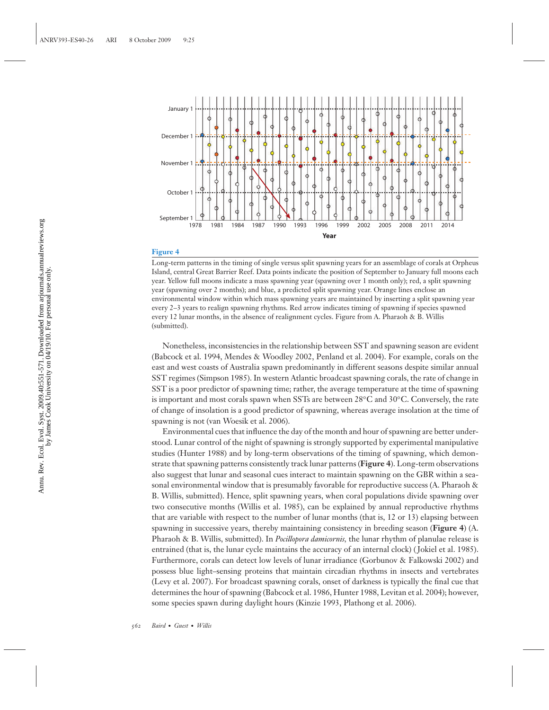

#### **Figure 4**

Long-term patterns in the timing of single versus split spawning years for an assemblage of corals at Orpheus Island, central Great Barrier Reef. Data points indicate the position of September to January full moons each year. Yellow full moons indicate a mass spawning year (spawning over 1 month only); red, a split spawning year (spawning over 2 months); and blue, a predicted split spawning year. Orange lines enclose an environmental window within which mass spawning years are maintained by inserting a split spawning year every 2–3 years to realign spawning rhythms. Red arrow indicates timing of spawning if species spawned every 12 lunar months, in the absence of realignment cycles. Figure from A. Pharaoh & B. Willis (submitted).

Nonetheless, inconsistencies in the relationship between SST and spawning season are evident (Babcock et al. 1994, Mendes & Woodley 2002, Penland et al. 2004). For example, corals on the east and west coasts of Australia spawn predominantly in different seasons despite similar annual SST regimes (Simpson 1985). In western Atlantic broadcast spawning corals, the rate of change in SST is a poor predictor of spawning time; rather, the average temperature at the time of spawning is important and most corals spawn when SSTs are between 28*◦*C and 30*◦*C. Conversely, the rate of change of insolation is a good predictor of spawning, whereas average insolation at the time of spawning is not (van Woesik et al. 2006).

Environmental cues that influence the day of the month and hour of spawning are better understood. Lunar control of the night of spawning is strongly supported by experimental manipulative studies (Hunter 1988) and by long-term observations of the timing of spawning, which demonstrate that spawning patterns consistently track lunar patterns (**Figure 4**). Long-term observations also suggest that lunar and seasonal cues interact to maintain spawning on the GBR within a seasonal environmental window that is presumably favorable for reproductive success (A. Pharaoh & B. Willis, submitted). Hence, split spawning years, when coral populations divide spawning over two consecutive months (Willis et al. 1985), can be explained by annual reproductive rhythms that are variable with respect to the number of lunar months (that is, 12 or 13) elapsing between spawning in successive years, thereby maintaining consistency in breeding season (**Figure 4**) (A. Pharaoh & B. Willis, submitted). In *Pocillopora damicornis,* the lunar rhythm of planulae release is entrained (that is, the lunar cycle maintains the accuracy of an internal clock) ( Jokiel et al. 1985). Furthermore, corals can detect low levels of lunar irradiance (Gorbunov & Falkowski 2002) and possess blue light–sensing proteins that maintain circadian rhythms in insects and vertebrates (Levy et al. 2007). For broadcast spawning corals, onset of darkness is typically the final cue that determines the hour of spawning (Babcock et al. 1986, Hunter 1988, Levitan et al. 2004); however, some species spawn during daylight hours (Kinzie 1993, Plathong et al. 2006).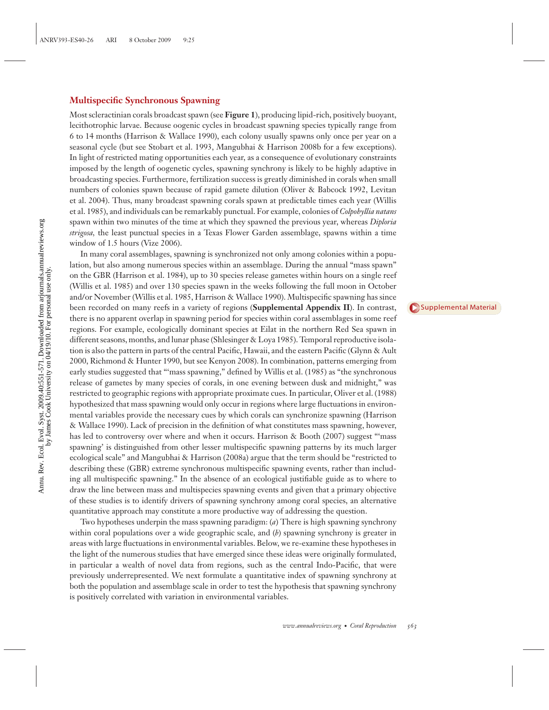#### **Multispecific Synchronous Spawning**

Most scleractinian corals broadcast spawn (see **Figure 1**), producing lipid-rich, positively buoyant, lecithotrophic larvae. Because oogenic cycles in broadcast spawning species typically range from 6 to 14 months (Harrison & Wallace 1990), each colony usually spawns only once per year on a seasonal cycle (but see Stobart et al. 1993, Mangubhai & Harrison 2008b for a few exceptions). In light of restricted mating opportunities each year, as a consequence of evolutionary constraints imposed by the length of oogenetic cycles, spawning synchrony is likely to be highly adaptive in broadcasting species. Furthermore, fertilization success is greatly diminished in corals when small numbers of colonies spawn because of rapid gamete dilution (Oliver & Babcock 1992, Levitan et al. 2004). Thus, many broadcast spawning corals spawn at predictable times each year (Willis et al. 1985), and individuals can be remarkably punctual. For example, colonies of *Colpohyllia natans* spawn within two minutes of the time at which they spawned the previous year, whereas *Diploria strigosa,* the least punctual species in a Texas Flower Garden assemblage, spawns within a time window of 1.5 hours (Vize 2006).

In many coral assemblages, spawning is synchronized not only among colonies within a population, but also among numerous species within an assemblage. During the annual "mass spawn" on the GBR (Harrison et al. 1984), up to 30 species release gametes within hours on a single reef (Willis et al. 1985) and over 130 species spawn in the weeks following the full moon in October and/or November (Willis et al. 1985, Harrison & Wallace 1990). Multispecific spawning has since been recorded on many reefs in a variety of regions (**Supplemental Appendix II**). In contrast, there is no apparent overlap in spawning period for species within coral assemblages in some reef regions. For example, ecologically dominant species at Eilat in the northern Red Sea spawn in different seasons, months, and lunar phase (Shlesinger & Loya 1985). Temporal reproductive isolation is also the pattern in parts of the central Pacific, Hawaii, and the eastern Pacific (Glynn & Ault 2000, Richmond & Hunter 1990, but see Kenyon 2008). In combination, patterns emerging from early studies suggested that "'mass spawning," defined by Willis et al. (1985) as "the synchronous release of gametes by many species of corals, in one evening between dusk and midnight," was restricted to geographic regions with appropriate proximate cues. In particular, Oliver et al. (1988) hypothesized that mass spawning would only occur in regions where large fluctuations in environmental variables provide the necessary cues by which corals can synchronize spawning (Harrison & Wallace 1990). Lack of precision in the definition of what constitutes mass spawning, however, has led to controversy over where and when it occurs. Harrison & Booth (2007) suggest "'mass spawning' is distinguished from other lesser multispecific spawning patterns by its much larger ecological scale" and Mangubhai & Harrison (2008a) argue that the term should be "restricted to describing these (GBR) extreme synchronous multispecific spawning events, rather than including all multispecific spawning." In the absence of an ecological justifiable guide as to where to draw the line between mass and multispecies spawning events and given that a primary objective of these studies is to identify drivers of spawning synchrony among coral species, an alternative quantitative approach may constitute a more productive way of addressing the question.

Two hypotheses underpin the mass spawning paradigm: (*a*) There is high spawning synchrony within coral populations over a wide geographic scale, and (*b*) spawning synchrony is greater in areas with large fluctuations in environmental variables. Below, we re-examine these hypotheses in the light of the numerous studies that have emerged since these ideas were originally formulated, in particular a wealth of novel data from regions, such as the central Indo-Pacific, that were previously underrepresented. We next formulate a quantitative index of spawning synchrony at both the population and assemblage scale in order to test the hypothesis that spawning synchrony is positively correlated with variation in environmental variables.

[Supplemental](http://arjournals.annualreviews.org/doi/suppl/10.1146/annurev.ecolsys.110308.120220) Material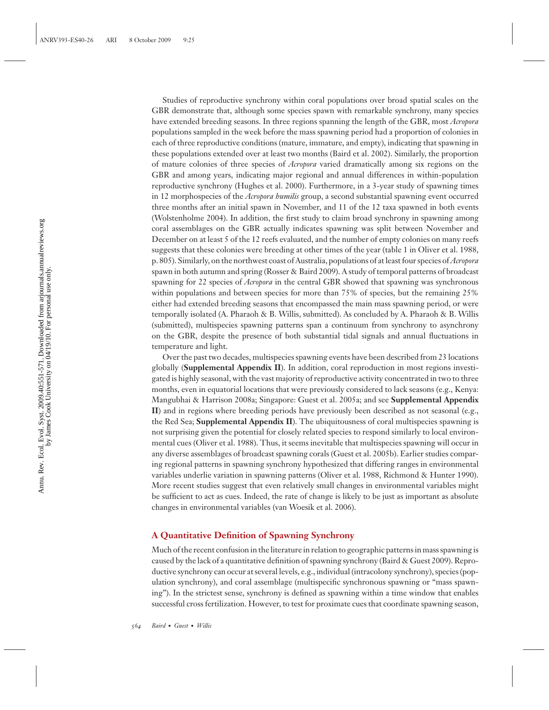Studies of reproductive synchrony within coral populations over broad spatial scales on the GBR demonstrate that, although some species spawn with remarkable synchrony, many species have extended breeding seasons. In three regions spanning the length of the GBR, most *Acropora* populations sampled in the week before the mass spawning period had a proportion of colonies in each of three reproductive conditions (mature, immature, and empty), indicating that spawning in these populations extended over at least two months (Baird et al. 2002). Similarly, the proportion of mature colonies of three species of *Acropora* varied dramatically among six regions on the GBR and among years, indicating major regional and annual differences in within-population reproductive synchrony (Hughes et al. 2000). Furthermore, in a 3-year study of spawning times in 12 morphospecies of the *Acropora humilis* group, a second substantial spawning event occurred three months after an initial spawn in November, and 11 of the 12 taxa spawned in both events (Wolstenholme 2004). In addition, the first study to claim broad synchrony in spawning among coral assemblages on the GBR actually indicates spawning was split between November and December on at least 5 of the 12 reefs evaluated, and the number of empty colonies on many reefs suggests that these colonies were breeding at other times of the year (table 1 in Oliver et al. 1988, p. 805). Similarly, on the northwest coast of Australia, populations of at least four species of*Acropora* spawn in both autumn and spring (Rosser & Baird 2009). A study of temporal patterns of broadcast spawning for 22 species of *Acropora* in the central GBR showed that spawning was synchronous within populations and between species for more than 75% of species, but the remaining 25% either had extended breeding seasons that encompassed the main mass spawning period, or were temporally isolated (A. Pharaoh & B. Willis, submitted). As concluded by A. Pharaoh & B. Willis (submitted), multispecies spawning patterns span a continuum from synchrony to asynchrony on the GBR, despite the presence of both substantial tidal signals and annual fluctuations in temperature and light.

Over the past two decades, multispecies spawning events have been described from 23 locations globally (**Supplemental Appendix II**). In addition, coral reproduction in most regions investigated is highly seasonal, with the vast majority of reproductive activity concentrated in two to three months, even in equatorial locations that were previously considered to lack seasons (e.g., Kenya: Mangubhai & Harrison 2008a; Singapore: Guest et al. 2005a; and see **Supplemental Appendix II**) and in regions where breeding periods have previously been described as not seasonal (e.g., the Red Sea; **Supplemental Appendix II**). The ubiquitousness of coral multispecies spawning is not surprising given the potential for closely related species to respond similarly to local environmental cues (Oliver et al. 1988). Thus, it seems inevitable that multispecies spawning will occur in any diverse assemblages of broadcast spawning corals (Guest et al. 2005b). Earlier studies comparing regional patterns in spawning synchrony hypothesized that differing ranges in environmental variables underlie variation in spawning patterns (Oliver et al. 1988, Richmond & Hunter 1990). More recent studies suggest that even relatively small changes in environmental variables might be sufficient to act as cues. Indeed, the rate of change is likely to be just as important as absolute changes in environmental variables (van Woesik et al. 2006).

#### **A Quantitative Definition of Spawning Synchrony**

Much of the recent confusion in the literature in relation to geographic patterns in mass spawning is caused by the lack of a quantitative definition of spawning synchrony (Baird & Guest 2009). Reproductive synchrony can occur at several levels, e.g., individual (intracolony synchrony), species (population synchrony), and coral assemblage (multispecific synchronous spawning or "mass spawning"). In the strictest sense, synchrony is defined as spawning within a time window that enables successful cross fertilization. However, to test for proximate cues that coordinate spawning season,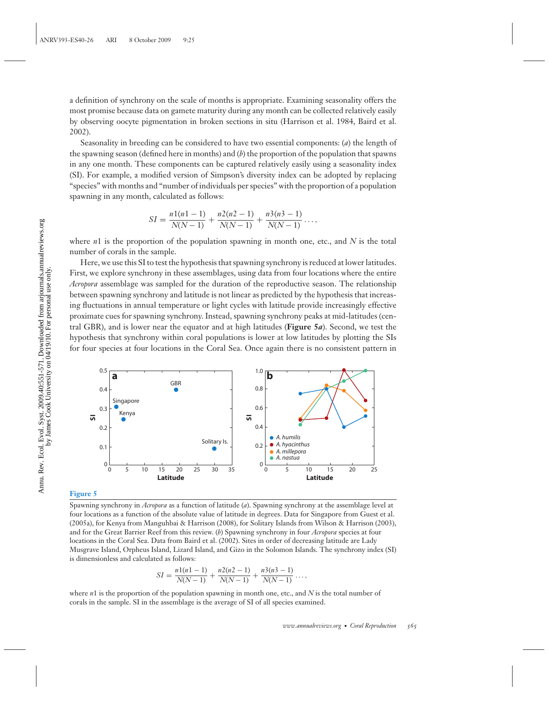a definition of synchrony on the scale of months is appropriate. Examining seasonality offers the most promise because data on gamete maturity during any month can be collected relatively easily by observing oocyte pigmentation in broken sections in situ (Harrison et al. 1984, Baird et al. 2002).

Seasonality in breeding can be considered to have two essential components: (*a*) the length of the spawning season (defined here in months) and (*b*) the proportion of the population that spawns in any one month. These components can be captured relatively easily using a seasonality index (SI). For example, a modified version of Simpson's diversity index can be adopted by replacing "species" with months and "number of individuals per species" with the proportion of a population spawning in any month, calculated as follows:

$$
SI = \frac{n1(n-1)}{N(N-1)} + \frac{n2(n-1)}{N(N-1)} + \frac{n3(n-1)}{N(N-1)} + \dots,
$$

where *n*1 is the proportion of the population spawning in month one, etc., and *N* is the total number of corals in the sample.

Here, we use this SI to test the hypothesis that spawning synchrony is reduced at lower latitudes. First, we explore synchrony in these assemblages, using data from four locations where the entire *Acropora* assemblage was sampled for the duration of the reproductive season. The relationship between spawning synchrony and latitude is not linear as predicted by the hypothesis that increasing fluctuations in annual temperature or light cycles with latitude provide increasingly effective proximate cues for spawning synchrony. Instead, spawning synchrony peaks at mid-latitudes (central GBR), and is lower near the equator and at high latitudes (**Figure 5***a*). Second, we test the hypothesis that synchrony within coral populations is lower at low latitudes by plotting the SIs for four species at four locations in the Coral Sea. Once again there is no consistent pattern in



#### **Figure 5**

Spawning synchrony in *Acropora* as a function of latitude (*a*). Spawning synchrony at the assemblage level at four locations as a function of the absolute value of latitude in degrees. Data for Singapore from Guest et al. (2005a), for Kenya from Manguhbai & Harrison (2008), for Solitary Islands from Wilson & Harrison (2003), and for the Great Barrier Reef from this review. (*b*) Spawning synchrony in four *Acropora* species at four locations in the Coral Sea. Data from Baird et al. (2002). Sites in order of decreasing latitude are Lady Musgrave Island, Orpheus Island, Lizard Island, and Gizo in the Solomon Islands. The synchrony index (SI) is dimensionless and calculated as follows:

$$
SI = \frac{n1(n1 - 1)}{N(N - 1)} + \frac{n2(n2 - 1)}{N(N - 1)} + \frac{n3(n3 - 1)}{N(N - 1)} \dots,
$$

where *n*1 is the proportion of the population spawning in month one, etc., and *N* is the total number of corals in the sample. SI in the assemblage is the average of SI of all species examined.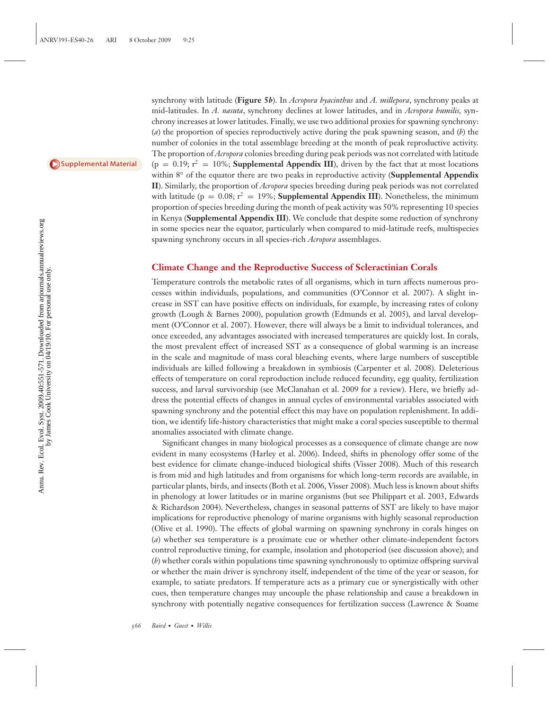[Supplemental](http://arjournals.annualreviews.org/doi/suppl/10.1146/annurev.ecolsys.110308.120220) Material

synchrony with latitude (**Figure 5***b*). In *Acropora hyacinthus* and *A. millepora*, synchrony peaks at mid-latitudes. In *A. nasuta*, synchrony declines at lower latitudes, and in *Acropora humilis,* synchrony increases at lower latitudes. Finally, we use two additional proxies for spawning synchrony: (*a*) the proportion of species reproductively active during the peak spawning season, and (*b*) the number of colonies in the total assemblage breeding at the month of peak reproductive activity. The proportion of *Acropora* colonies breeding during peak periods was not correlated with latitude  $(p = 0.19; r^2 = 10\%;$  **Supplemental Appendix III**), driven by the fact that at most locations within 8*◦* of the equator there are two peaks in reproductive activity (**Supplemental Appendix II**). Similarly, the proportion of *Acropora* species breeding during peak periods was not correlated with latitude ( $p = 0.08$ ;  $r^2 = 19\%$ ; **Supplemental Appendix III**). Nonetheless, the minimum proportion of species breeding during the month of peak activity was 50% representing 10 species in Kenya (**Supplemental Appendix III**). We conclude that despite some reduction of synchrony in some species near the equator, particularly when compared to mid-latitude reefs, multispecies spawning synchrony occurs in all species-rich *Acropora* assemblages.

#### **Climate Change and the Reproductive Success of Scleractinian Corals**

Temperature controls the metabolic rates of all organisms, which in turn affects numerous processes within individuals, populations, and communities (O'Connor et al. 2007). A slight increase in SST can have positive effects on individuals, for example, by increasing rates of colony growth (Lough & Barnes 2000), population growth (Edmunds et al. 2005), and larval development (O'Connor et al. 2007). However, there will always be a limit to individual tolerances, and once exceeded, any advantages associated with increased temperatures are quickly lost. In corals, the most prevalent effect of increased SST as a consequence of global warming is an increase in the scale and magnitude of mass coral bleaching events, where large numbers of susceptible individuals are killed following a breakdown in symbiosis (Carpenter et al. 2008). Deleterious effects of temperature on coral reproduction include reduced fecundity, egg quality, fertilization success, and larval survivorship (see McClanahan et al. 2009 for a review). Here, we briefly address the potential effects of changes in annual cycles of environmental variables associated with spawning synchrony and the potential effect this may have on population replenishment. In addition, we identify life-history characteristics that might make a coral species susceptible to thermal anomalies associated with climate change.

Significant changes in many biological processes as a consequence of climate change are now evident in many ecosystems (Harley et al. 2006). Indeed, shifts in phenology offer some of the best evidence for climate change-induced biological shifts (Visser 2008). Much of this research is from mid and high latitudes and from organisms for which long-term records are available, in particular plants, birds, and insects (Both et al. 2006, Visser 2008). Much less is known about shifts in phenology at lower latitudes or in marine organisms (but see Philippart et al. 2003, Edwards & Richardson 2004). Nevertheless, changes in seasonal patterns of SST are likely to have major implications for reproductive phenology of marine organisms with highly seasonal reproduction (Olive et al. 1990). The effects of global warming on spawning synchrony in corals hinges on (*a*) whether sea temperature is a proximate cue or whether other climate-independent factors control reproductive timing, for example, insolation and photoperiod (see discussion above); and (*b*) whether corals within populations time spawning synchronously to optimize offspring survival or whether the main driver is synchrony itself, independent of the time of the year or season, for example, to satiate predators. If temperature acts as a primary cue or synergistically with other cues, then temperature changes may uncouple the phase relationship and cause a breakdown in synchrony with potentially negative consequences for fertilization success (Lawrence & Soame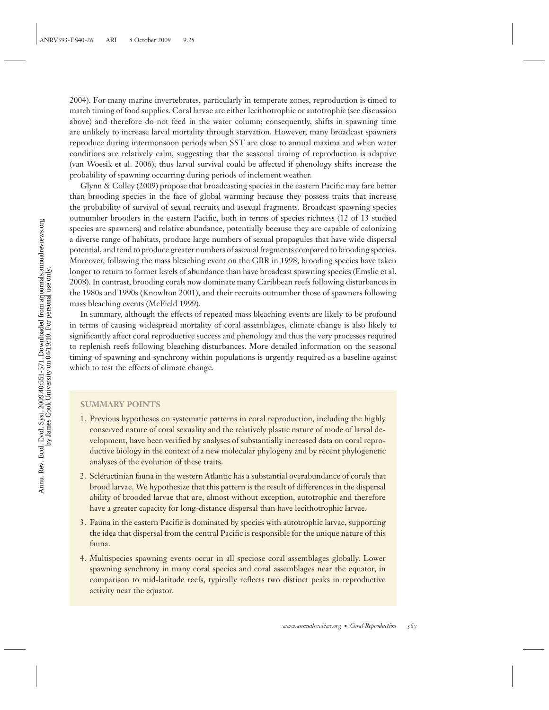2004). For many marine invertebrates, particularly in temperate zones, reproduction is timed to match timing of food supplies. Coral larvae are either lecithotrophic or autotrophic (see discussion above) and therefore do not feed in the water column; consequently, shifts in spawning time are unlikely to increase larval mortality through starvation. However, many broadcast spawners reproduce during intermonsoon periods when SST are close to annual maxima and when water conditions are relatively calm, suggesting that the seasonal timing of reproduction is adaptive (van Woesik et al. 2006); thus larval survival could be affected if phenology shifts increase the probability of spawning occurring during periods of inclement weather.

Glynn & Colley (2009) propose that broadcasting species in the eastern Pacific may fare better than brooding species in the face of global warming because they possess traits that increase the probability of survival of sexual recruits and asexual fragments. Broadcast spawning species outnumber brooders in the eastern Pacific, both in terms of species richness (12 of 13 studied species are spawners) and relative abundance, potentially because they are capable of colonizing a diverse range of habitats, produce large numbers of sexual propagules that have wide dispersal potential, and tend to produce greater numbers of asexual fragments compared to brooding species. Moreover, following the mass bleaching event on the GBR in 1998, brooding species have taken longer to return to former levels of abundance than have broadcast spawning species (Emslie et al. 2008). In contrast, brooding corals now dominate many Caribbean reefs following disturbances in the 1980s and 1990s (Knowlton 2001), and their recruits outnumber those of spawners following mass bleaching events (McField 1999).

In summary, although the effects of repeated mass bleaching events are likely to be profound in terms of causing widespread mortality of coral assemblages, climate change is also likely to significantly affect coral reproductive success and phenology and thus the very processes required to replenish reefs following bleaching disturbances. More detailed information on the seasonal timing of spawning and synchrony within populations is urgently required as a baseline against which to test the effects of climate change.

#### **SUMMARY POINTS**

- 1. Previous hypotheses on systematic patterns in coral reproduction, including the highly conserved nature of coral sexuality and the relatively plastic nature of mode of larval development, have been verified by analyses of substantially increased data on coral reproductive biology in the context of a new molecular phylogeny and by recent phylogenetic analyses of the evolution of these traits.
- 2. Scleractinian fauna in the western Atlantic has a substantial overabundance of corals that brood larvae. We hypothesize that this pattern is the result of differences in the dispersal ability of brooded larvae that are, almost without exception, autotrophic and therefore have a greater capacity for long-distance dispersal than have lecithotrophic larvae.
- 3. Fauna in the eastern Pacific is dominated by species with autotrophic larvae, supporting the idea that dispersal from the central Pacific is responsible for the unique nature of this fauna.
- 4. Multispecies spawning events occur in all speciose coral assemblages globally. Lower spawning synchrony in many coral species and coral assemblages near the equator, in comparison to mid-latitude reefs, typically reflects two distinct peaks in reproductive activity near the equator.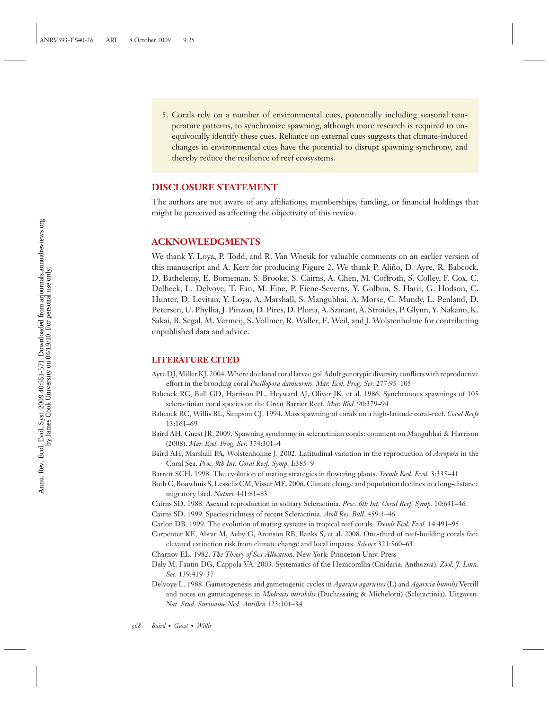5. Corals rely on a number of environmental cues, potentially including seasonal temperature patterns, to synchronize spawning, although more research is required to unequivocally identify these cues. Reliance on external cues suggests that climate-induced changes in environmental cues have the potential to disrupt spawning synchrony, and thereby reduce the resilience of reef ecosystems.

#### **DISCLOSURE STATEMENT**

The authors are not aware of any affiliations, memberships, funding, or financial holdings that might be perceived as affecting the objectivity of this review.

#### **ACKNOWLEDGMENTS**

We thank Y. Loya, P. Todd, and R. Van Woesik for valuable comments on an earlier version of this manuscript and A. Kerr for producing Figure 2. We thank P. Aliño, D. Ayre, R. Babcock, D. Bathelemy, E. Borneman, S. Brooke, S. Cairns, A. Chen, M. Coffroth, S. Colley, F. Cox, C. Delbeek, L. Delvoye, T. Fan, M. Fine, P. Fiene-Severns, Y. Golbuu, S. Harii, G. Hodson, C. Hunter, D. Levitan, Y. Loya, A. Marshall, S. Mangubhai, A. Morse, C. Mundy, L. Penland, D. Petersen, U. Phyllia, J. Pinzon, D. Pires, D. Ploria, A. Szmant, A. Stroides, P. Glynn, Y. Nakano, K. Sakai, B. Segal, M. Vermeij, S. Vollmer, R. Waller, E. Weil, and J. Wolstenholme for contributing unpublished data and advice.

#### **LITERATURE CITED**

- Ayre DJ, Miller KJ. 2004. Where do clonal coral larvae go? Adult genotypic diversity conflicts with reproductive effort in the brooding coral *Pocillopora damicornis*. *Mar. Ecol. Prog. Ser.* 277:95–105
- Babcock RC, Bull GD, Harrison PL, Heyward AJ, Oliver JK, et al. 1986. Synchronous spawnings of 105 scleractinian coral species on the Great Barrier Reef. *Mar. Biol.* 90:379–94
- Babcock RC, Willis BL, Simpson CJ. 1994. Mass spawning of corals on a high-latitude coral-reef. *Coral Reefs* 13:161–69
- Baird AH, Guest JR. 2009. Spawning synchrony in scleractinian corals: comment on Mangubhai & Harrison (2008). *Mar. Ecol. Prog. Ser.* 374:301–4
- Baird AH, Marshall PA, Wolstenholme J. 2002. Latitudinal variation in the reproduction of *Acropora* in the Coral Sea. *Proc. 9th Int. Coral Reef. Symp.* I:385–9
- Barrett SCH. 1998. The evolution of mating strategies in flowering plants. *Trends Ecol. Evol.* 3:335–41
- Both C, Bouwhuis S, Lessells CM, Visser ME. 2006. Climate change and population declines in a long-distance migratory bird. *Nature* 441:81–83
- Cairns SD. 1988. Asexual reproduction in solitary Scleractinia. *Proc. 6th Int. Coral Reef. Symp.* 10:641–46
- Cairns SD. 1999. Species richness of recent Scleractinia. *Atoll Res. Bull.* 459:1–46
- Carlon DB. 1999. The evolution of mating systems in tropical reef corals. *Trends Ecol. Evol.* 14:491–95
- Carpenter KE, Abrar M, Aeby G, Aronson RB, Banks S, et al. 2008. One-third of reef-building corals face elevated extinction risk from climate change and local impacts. *Science* 321:560–63
- Charnov EL. 1982. *The Theory of Sex Allocation*. New York: Princeton Univ. Press
- Daly M, Fautin DG, Cappola VA. 2003. Systematics of the Hexacorallia (Cnidaria: Anthozoa). *Zool. J. Linn. Soc.* 139:419–37
- Delvoye L. 1988. Gametogenesis and gametogenic cycles in *Agaricia agaricites* (L) and *Agaricia humilis* Verrill and notes on gametogenesis in *Madracis mirabilis* (Duchassaing & Michelotti) (Scleractinia). Uitgaven. *Nat. Stud. Suriname Ned. Antillen* 123:101–34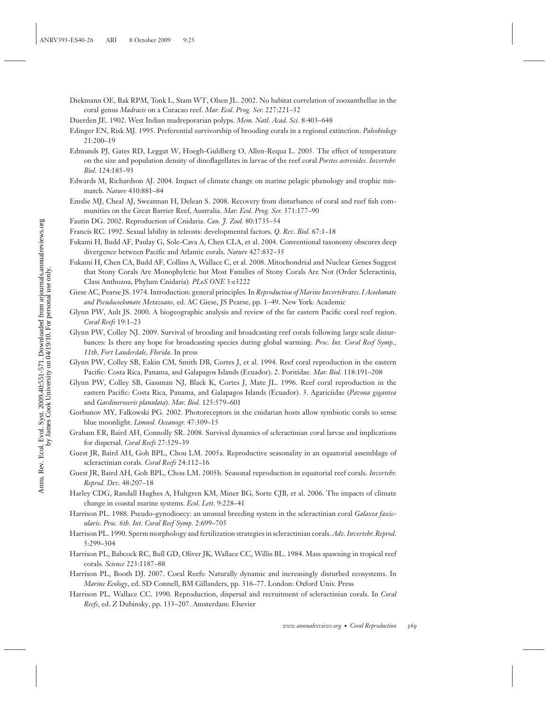- Diekmann OE, Bak RPM, Tonk L, Stam WT, Olsen JL. 2002. No habitat correlation of zooxanthellae in the coral genus *Madracis* on a Curacao reef. *Mar. Ecol. Prog. Ser.* 227:221–32
- Duerden JE. 1902. West Indian madreporarian polyps. *Mem. Natl. Acad. Sci.* 8:403–648
- Edinger EN, Risk MJ. 1995. Preferential survivorship of brooding corals in a regional extinction. *Paleobiology* 21:200–19
- Edmunds PJ, Gates RD, Leggat W, Hoegh-Guldberg O, Allen-Requa L. 2005. The effect of temperature on the size and population density of dinoflagellates in larvae of the reef coral *Porites astreoides*. *Invertebr. Biol.* 124:185–93
- Edwards M, Richardson AJ. 2004. Impact of climate change on marine pelagic phenology and trophic mismatch. *Nature* 430:881–84
- Emslie MJ, Cheal AJ, Sweatman H, Delean S. 2008. Recovery from disturbance of coral and reef fish communities on the Great Barrier Reef, Australia. *Mar. Ecol. Prog. Ser.* 371:177–90
- Fautin DG. 2002. Reproduction of Cnidaria. *Can. J. Zool.* 80:1735–54
- Francis RC. 1992. Sexual lability in teleosts: developmental factors. *Q. Rev. Biol.* 67:1–18
- Fukami H, Budd AF, Paulay G, Sole-Cava A, Chen CLA, et al. 2004. Conventional taxonomy obscures deep divergence between Pacific and Atlantic corals. *Nature* 427:832–35
- Fukami H, Chen CA, Budd AF, Collins A, Wallace C, et al. 2008. Mitochondrial and Nuclear Genes Suggest that Stony Corals Are Monophyletic but Most Families of Stony Corals Are Not (Order Scleractinia, Class Anthozoa, Phylum Cnidaria). *PLoS ONE* 3:e3222
- Giese AC, Pearse JS. 1974. Introduction: general principles. In *Reproduction of Marine Invertebrates. I Acoelomate and Pseudocoelomate Metazoans*, ed. AC Giese, JS Pearse, pp. 1–49. New York: Academic
- Glynn PW, Ault JS. 2000. A biogeographic analysis and review of the far eastern Pacific coral reef region. *Coral Reefs* 19:1–23
- Glynn PW, Colley NJ. 2009. Survival of brooding and broadcasting reef corals following large scale disturbances: Is there any hope for broadcasting species during global warming. *Proc. Int. Coral Reef Symp., 11th, Fort Lauderdale, Florida*. In press
- Glynn PW, Colley SB, Eakin CM, Smith DB, Cortes J, et al. 1994. Reef coral reproduction in the eastern Pacific: Costa Rica, Panama, and Galapagos Islands (Ecuador). 2. Poritidae. *Mar. Biol.* 118:191–208
- Glynn PW, Colley SB, Gassman NJ, Black K, Cortes J, Mate JL. 1996. Reef coral reproduction in the eastern Pacific: Costa Rica, Panama, and Galapagos Islands (Ecuador). 3. Agariciidae (*Pavona gigantea* and *Gardineroseris planulata*). *Mar. Biol.* 125:579–601
- Gorbunov MY, Falkowski PG. 2002. Photoreceptors in the cnidarian hosts allow symbiotic corals to sense blue moonlight. *Limnol. Oceanogr.* 47:309–15
- Graham ER, Baird AH, Connolly SR. 2008. Survival dynamics of scleractinian coral larvae and implications for dispersal. *Coral Reefs* 27:529–39
- Guest JR, Baird AH, Goh BPL, Chou LM. 2005a. Reproductive seasonality in an equatorial assemblage of scleractinian corals. *Coral Reefs* 24:112–16
- Guest JR, Baird AH, Goh BPL, Chou LM. 2005b. Seasonal reproduction in equatorial reef corals. *Invertebr. Reprod. Dev.* 48:207–18
- Harley CDG, Randall Hughes A, Hultgren KM, Miner BG, Sorte CJB, et al. 2006. The impacts of climate change in coastal marine systems. *Ecol. Lett.* 9:228–41
- Harrison PL. 1988. Pseudo-gynodioecy: an unusual breeding system in the scleractinian coral *Galaxea fascicularis*. *Proc. 6th. Int. Coral Reef Symp.* 2:699–705
- Harrison PL. 1990. Sperm morphology and fertilization strategies in scleractinian corals.*Adv. Invertebr. Reprod.* 5:299–304
- Harrison PL, Babcock RC, Bull GD, Oliver JK, Wallace CC, Willis BL. 1984. Mass spawning in tropical reef corals. *Science* 223:1187–88
- Harrison PL, Booth DJ. 2007. Coral Reefs: Naturally dynamic and increasingly disturbed ecosystems. In *Marine Ecology*, ed. SD Connell, BM Gillanders, pp. 316–77. London: Oxford Univ. Press
- Harrison PL, Wallace CC. 1990. Reproduction, dispersal and recruitment of scleractinian corals. In *Coral Reefs*, ed. Z Dubinsky, pp. 133–207. Amsterdam: Elsevier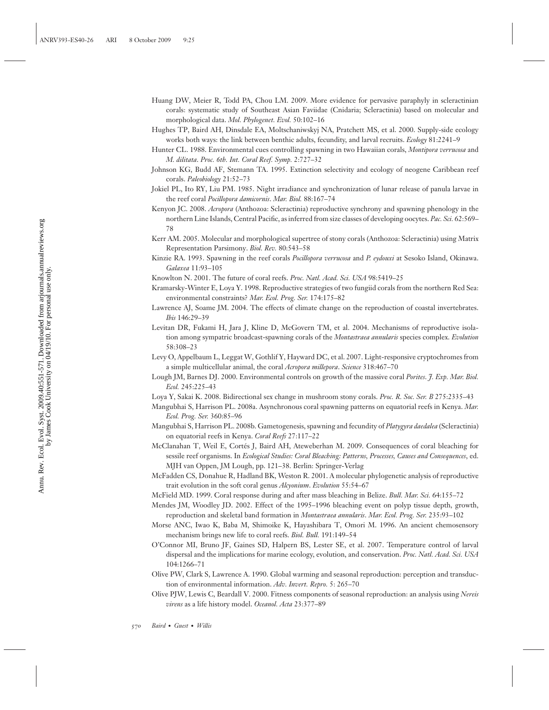- Huang DW, Meier R, Todd PA, Chou LM. 2009. More evidence for pervasive paraphyly in scleractinian corals: systematic study of Southeast Asian Faviidae (Cnidaria; Scleractinia) based on molecular and morphological data. *Mol. Phylogenet. Evol.* 50:102–16
- Hughes TP, Baird AH, Dinsdale EA, Moltschaniwskyj NA, Pratchett MS, et al. 2000. Supply-side ecology works both ways: the link between benthic adults, fecundity, and larval recruits. *Ecology* 81:2241–9
- Hunter CL. 1988. Environmental cues controlling spawning in two Hawaiian corals, *Montipora verrucosa* and *M. dilitata*. *Proc. 6th. Int. Coral Reef. Symp.* 2:727–32
- Johnson KG, Budd AF, Stemann TA. 1995. Extinction selectivity and ecology of neogene Caribbean reef corals. *Paleobiology* 21:52–73
- Jokiel PL, Ito RY, Liu PM. 1985. Night irradiance and synchronization of lunar release of panula larvae in the reef coral *Pocillopora damicornis*. *Mar. Biol.* 88:167–74
- Kenyon JC. 2008. *Acropora* (Anthozoa: Scleractinia) reproductive synchrony and spawning phenology in the northern Line Islands, Central Pacific, as inferred from size classes of developing oocytes. *Pac. Sci.* 62:569– 78
- Kerr AM. 2005. Molecular and morphological supertree of stony corals (Anthozoa: Scleractinia) using Matrix Representation Parsimony. *Biol. Rev.* 80:543–58
- Kinzie RA. 1993. Spawning in the reef corals *Pocillopora verrucosa* and *P. eydouxi* at Sesoko Island, Okinawa. *Galaxea* 11:93–105
- Knowlton N. 2001. The future of coral reefs. *Proc. Natl. Acad. Sci. USA* 98:5419–25
- Kramarsky-Winter E, Loya Y. 1998. Reproductive strategies of two fungiid corals from the northern Red Sea: environmental constraints? *Mar. Ecol. Prog. Ser.* 174:175–82
- Lawrence AJ, Soame JM. 2004. The effects of climate change on the reproduction of coastal invertebrates. *Ibis* 146:29–39
- Levitan DR, Fukami H, Jara J, Kline D, McGovern TM, et al. 2004. Mechanisms of reproductive isolation among sympatric broadcast-spawning corals of the *Montastraea annularis* species complex. *Evolution* 58:308–23
- Levy O, Appelbaum L, Leggat W, Gothlif Y, Hayward DC, et al. 2007. Light-responsive cryptochromes from a simple multicellular animal, the coral *Acropora millepora*. *Science* 318:467–70
- Lough JM, Barnes DJ. 2000. Environmental controls on growth of the massive coral *Porites*. *J. Exp. Mar. Biol. Ecol.* 245:225–43
- Loya Y, Sakai K. 2008. Bidirectional sex change in mushroom stony corals. *Proc. R. Soc. Ser. B* 275:2335–43
- Mangubhai S, Harrison PL. 2008a. Asynchronous coral spawning patterns on equatorial reefs in Kenya. *Mar. Ecol. Prog. Ser.* 360:85–96
- Mangubhai S, Harrison PL. 2008b. Gametogenesis, spawning and fecundity of *Platygyra daedalea* (Scleractinia) on equatorial reefs in Kenya. *Coral Reefs* 27:117–22
- McClanahan T, Weil E, Cortes J, Baird AH, Ateweberhan M. 2009. Consequences of coral bleaching for ´ sessile reef organisms. In *Ecological Studies: Coral Bleaching: Patterns, Processes, Causes and Consequences*, ed. MJH van Oppen, JM Lough, pp. 121–38. Berlin: Springer-Verlag
- McFadden CS, Donahue R, Hadland BK, Weston R. 2001. A molecular phylogenetic analysis of reproductive trait evolution in the soft coral genus *Alcyonium*. *Evolution* 55:54–67
- McField MD. 1999. Coral response during and after mass bleaching in Belize. *Bull. Mar. Sci.* 64:155–72
- Mendes JM, Woodley JD. 2002. Effect of the 1995–1996 bleaching event on polyp tissue depth, growth, reproduction and skeletal band formation in *Montastraea annularis*. *Mar. Ecol. Prog. Ser.* 235:93–102
- Morse ANC, Iwao K, Baba M, Shimoike K, Hayashibara T, Omori M. 1996. An ancient chemosensory mechanism brings new life to coral reefs. *Biol. Bull.* 191:149–54
- O'Connor MI, Bruno JF, Gaines SD, Halpern BS, Lester SE, et al. 2007. Temperature control of larval dispersal and the implications for marine ecology, evolution, and conservation. *Proc. Natl. Acad. Sci. USA* 104:1266–71
- Olive PW, Clark S, Lawrence A. 1990. Global warming and seasonal reproduction: perception and transduction of environmental information. *Adv. Invert. Repro.* 5: 265–70
- Olive PJW, Lewis C, Beardall V. 2000. Fitness components of seasonal reproduction: an analysis using *Nereis virens* as a life history model. *Oceanol. Acta* 23:377–89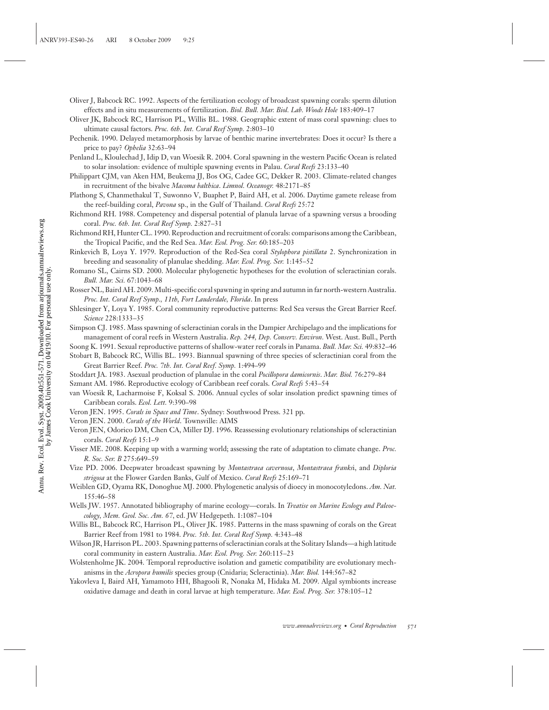Annu. Rev. Ecol. Evol. Syst. 2009.40:551-571. Downloaded from arjournals.annualreviews.org<br>by James Cook University on 04/19/10. For personal use only. Annu. Rev. Ecol. Evol. Syst. 2009.40:551-571. Downloaded from arjournals.annualreviews.org by James Cook University on 04/19/10. For personal use only.

- Oliver J, Babcock RC. 1992. Aspects of the fertilization ecology of broadcast spawning corals: sperm dilution effects and in situ measurements of fertilization. *Biol. Bull. Mar. Biol. Lab. Woods Hole* 183:409–17
- Oliver JK, Babcock RC, Harrison PL, Willis BL. 1988. Geographic extent of mass coral spawning: clues to ultimate causal factors. *Proc. 6th. Int. Coral Reef Symp.* 2:803–10
- Pechenik. 1990. Delayed metamorphosis by larvae of benthic marine invertebrates: Does it occur? Is there a price to pay? *Ophelia* 32:63–94
- Penland L, Kloulechad J, Idip D, van Woesik R. 2004. Coral spawning in the western Pacific Ocean is related to solar insolation: evidence of multiple spawning events in Palau. *Coral Reefs* 23:133–40
- Philippart CJM, van Aken HM, Beukema JJ, Bos OG, Cadee GC, Dekker R. 2003. Climate-related changes in recruitment of the bivalve *Macoma balthica*. *Limnol. Oceanogr.* 48:2171–85
- Plathong S, Chanmethakul T, Suwonno V, Buaphet P, Baird AH, et al. 2006. Daytime gamete release from the reef-building coral, *Pavona* sp., in the Gulf of Thailand. *Coral Reefs* 25:72
- Richmond RH. 1988. Competency and dispersal potential of planula larvae of a spawning versus a brooding coral. *Proc. 6th. Int. Coral Reef Symp.* 2:827–31
- Richmond RH, Hunter CL. 1990. Reproduction and recruitment of corals: comparisons among the Caribbean, the Tropical Pacific, and the Red Sea. *Mar. Ecol. Prog. Ser.* 60:185–203
- Rinkevich B, Loya Y. 1979. Reproduction of the Red-Sea coral *Stylophora pistillata* 2. Synchronization in breeding and seasonality of planulae shedding. *Mar. Ecol. Prog. Ser.* 1:145–52
- Romano SL, Cairns SD. 2000. Molecular phylogenetic hypotheses for the evolution of scleractinian corals. *Bull. Mar. Sci.* 67:1043–68
- Rosser NL, Baird AH. 2009. Multi-specific coral spawning in spring and autumn in far north-western Australia. *Proc. Int. Coral Reef Symp., 11th, Fort Lauderdale, Florida*. In press
- Shlesinger Y, Loya Y. 1985. Coral community reproductive patterns: Red Sea versus the Great Barrier Reef. *Science* 228:1333–35
- Simpson CJ. 1985. Mass spawning of scleractinian corals in the Dampier Archipelago and the implications for management of coral reefs in Western Australia. *Rep. 244, Dep. Conserv. Environ.* West. Aust. Bull., Perth
- Soong K. 1991. Sexual reproductive patterns of shallow-water reef corals in Panama. *Bull. Mar. Sci.* 49:832–46
- Stobart B, Babcock RC, Willis BL. 1993. Biannual spawning of three species of scleractinian coral from the Great Barrier Reef. *Proc. 7th. Int. Coral Reef. Symp.* 1:494–99
- Stoddart JA. 1983. Asexual production of planulae in the coral *Pocillopora damicornis*. *Mar. Biol.* 76:279–84 Szmant AM. 1986. Reproductive ecology of Caribbean reef corals. *Coral Reefs* 5:43–54
- van Woesik R, Lacharmoise F, Koksal S. 2006. Annual cycles of solar insolation predict spawning times of Caribbean corals. *Ecol. Lett.* 9:390–98
- Veron JEN. 1995. *Corals in Space and Time*. Sydney: Southwood Press. 321 pp.
- Veron JEN. 2000. *Corals of the World*. Townsville: AIMS
- Veron JEN, Odorico DM, Chen CA, Miller DJ. 1996. Reassessing evolutionary relationships of scleractinian corals. *Coral Reefs* 15:1–9
- Visser ME. 2008. Keeping up with a warming world; assessing the rate of adaptation to climate change. *Proc. R. Soc. Ser. B* 275:649–59
- Vize PD. 2006. Deepwater broadcast spawning by *Montastraea cavernosa*, *Montastraea franks*i, and *Diploria strigosa* at the Flower Garden Banks, Gulf of Mexico. *Coral Reefs* 25:169–71
- Weiblen GD, Oyama RK, Donoghue MJ. 2000. Phylogenetic analysis of dioecy in monocotyledons. *Am. Nat.* 155:46–58
- Wells JW. 1957. Annotated bibliography of marine ecology—corals. In *Treatise on Marine Ecology and Paleoecology, Mem. Geol. Soc. Am. 67*, ed. JW Hedgepeth. 1:1087–104
- Willis BL, Babcock RC, Harrison PL, Oliver JK. 1985. Patterns in the mass spawning of corals on the Great Barrier Reef from 1981 to 1984. *Proc. 5th. Int. Coral Reef Symp.* 4:343–48
- Wilson JR, Harrison PL. 2003. Spawning patterns of scleractinian corals at the Solitary Islands—a high latitude coral community in eastern Australia. *Mar. Ecol. Prog. Ser.* 260:115–23
- Wolstenholme JK. 2004. Temporal reproductive isolation and gametic compatibility are evolutionary mechanisms in the *Acropora humilis* species group (Cnidaria; Scleractinia). *Mar. Biol.* 144:567–82
- Yakovleva I, Baird AH, Yamamoto HH, Bhagooli R, Nonaka M, Hidaka M. 2009. Algal symbionts increase oxidative damage and death in coral larvae at high temperature. *Mar. Ecol. Prog. Ser.* 378:105–12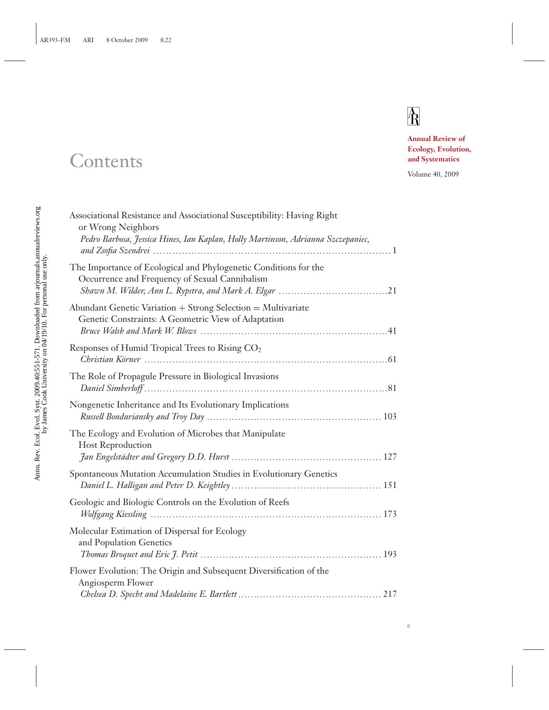# $\mathbb A$

*v*

**Annual Review of Ecology, Evolution, and Systematics**

Volume 40, 2009

# Associational Resistance and Associational Susceptibility: Having Right or Wrong Neighbors *Pedro Barbosa, Jessica Hines, Ian Kaplan, Holly Martinson, Adrianna Szczepaniec, and Zsofia Szendrei* **♣♣♣♣♣♣♣♣♣♣♣♣♣♣♣♣♣♣♣♣♣♣♣♣♣♣♣♣♣♣♣♣♣♣♣♣♣♣♣♣♣♣♣♣♣♣♣♣♣♣♣♣♣♣♣♣♣♣♣♣♣♣♣♣♣♣♣♣♣♣♣♣♣♣♣♣** 1 The Importance of Ecological and Phylogenetic Conditions for the Occurrence and Frequency of Sexual Cannibalism *Shawn M. Wilder, Ann L. Rypstra, and Mark A. Elgar* **♣♣♣♣♣♣♣♣♣♣♣♣♣♣♣♣♣♣♣♣♣♣♣♣♣♣♣♣♣♣♣♣♣♣♣**21 Abundant Genetic Variation + Strong Selection = Multivariate Genetic Constraints: A Geometric View of Adaptation *Bruce Walsh and Mark W. Blows* **♣♣♣♣♣♣♣♣♣♣♣♣♣♣♣♣♣♣♣♣♣♣♣♣♣♣♣♣♣♣♣♣♣♣♣♣♣♣♣♣♣♣♣♣♣♣♣♣♣♣♣♣♣♣♣♣♣♣♣♣**41 Responses of Humid Tropical Trees to Rising CO2 *Christian K¨orner* **♣♣♣♣♣♣♣♣♣♣♣♣♣♣♣♣♣♣♣♣♣♣♣♣♣♣♣♣♣♣♣♣♣♣♣♣♣♣♣♣♣♣♣♣♣♣♣♣♣♣♣♣♣♣♣♣♣♣♣♣♣♣♣♣♣♣♣♣♣♣♣♣♣♣♣♣♣♣**61 The Role of Propagule Pressure in Biological Invasions *Daniel Simberloff* **♣♣♣♣♣♣♣♣♣♣♣♣♣♣♣♣♣♣♣♣♣♣♣♣♣♣♣♣♣♣♣♣♣♣♣♣♣♣♣♣♣♣♣♣♣♣♣♣♣♣♣♣♣♣♣♣♣♣♣♣♣♣♣♣♣♣♣♣♣♣♣♣♣♣♣♣♣♣**81 Nongenetic Inheritance and Its Evolutionary Implications *Russell Bonduriansky and Troy Day* **♣♣♣♣♣♣♣♣♣♣♣♣♣♣♣♣♣♣♣♣♣♣♣♣♣♣♣♣♣♣♣♣♣♣♣♣♣♣♣♣♣♣♣♣♣♣♣♣♣♣♣♣♣♣♣♣** 103 The Ecology and Evolution of Microbes that Manipulate Host Reproduction *Jan Engelst¨adter and Gregory D.D. Hurst* **♣♣♣♣♣♣♣♣♣♣♣♣♣♣♣♣♣♣♣♣♣♣♣♣♣♣♣♣♣♣♣♣♣♣♣♣♣♣♣♣♣♣♣♣♣♣♣♣** 127 Spontaneous Mutation Accumulation Studies in Evolutionary Genetics *Daniel L. Halligan and Peter D. Keightley* **♣♣♣♣♣♣♣♣♣♣♣♣♣♣♣♣♣♣♣♣♣♣♣♣♣♣♣♣♣♣♣♣♣♣♣♣♣♣♣♣♣♣♣♣♣♣♣♣** 151 Geologic and Biologic Controls on the Evolution of Reefs *Wolfgang Kiessling* **♣♣♣♣♣♣♣♣♣♣♣♣♣♣♣♣♣♣♣♣♣♣♣♣♣♣♣♣♣♣♣♣♣♣♣♣♣♣♣♣♣♣♣♣♣♣♣♣♣♣♣♣♣♣♣♣♣♣♣♣♣♣♣♣♣♣♣♣♣♣♣♣♣♣** 173 Molecular Estimation of Dispersal for Ecology and Population Genetics *Thomas Broquet and Eric J. Petit* **♣♣♣♣♣♣♣♣♣♣♣♣♣♣♣♣♣♣♣♣♣♣♣♣♣♣♣♣♣♣♣♣♣♣♣♣♣♣♣♣♣♣♣♣♣♣♣♣♣♣♣♣♣♣♣♣♣♣** 193 Flower Evolution: The Origin and Subsequent Diversification of the Angiosperm Flower *Chelsea D. Specht and Madelaine E. Bartlett* **♣♣♣♣♣♣♣♣♣♣♣♣♣♣♣♣♣♣♣♣♣♣♣♣♣♣♣♣♣♣♣♣♣♣♣♣♣♣♣♣♣♣♣♣♣♣** 217

# **Contents**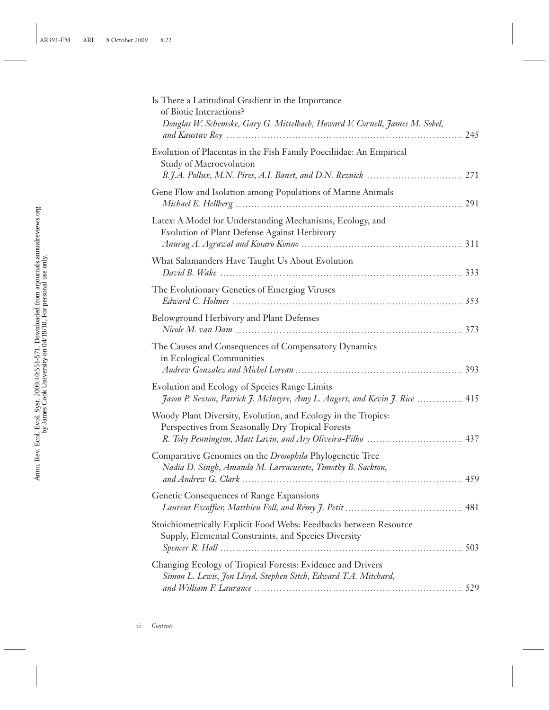| Is There a Latitudinal Gradient in the Importance<br>of Biotic Interactions?<br>Douglas W. Schemske, Gary G. Mittelbach, Howard V. Cornell, James M. Sobel, |
|-------------------------------------------------------------------------------------------------------------------------------------------------------------|
| Evolution of Placentas in the Fish Family Poeciliidae: An Empirical<br>Study of Macroevolution                                                              |
| Gene Flow and Isolation among Populations of Marine Animals                                                                                                 |
| Latex: A Model for Understanding Mechanisms, Ecology, and<br>Evolution of Plant Defense Against Herbivory                                                   |
| What Salamanders Have Taught Us About Evolution                                                                                                             |
| The Evolutionary Genetics of Emerging Viruses                                                                                                               |
| Belowground Herbivory and Plant Defenses                                                                                                                    |
| The Causes and Consequences of Compensatory Dynamics<br>in Ecological Communities                                                                           |
| Evolution and Ecology of Species Range Limits<br>Jason P. Sexton, Patrick J. McIntyre, Amy L. Angert, and Kevin J. Rice  415                                |
| Woody Plant Diversity, Evolution, and Ecology in the Tropics:<br>Perspectives from Seasonally Dry Tropical Forests                                          |
| Comparative Genomics on the Drosophila Phylogenetic Tree<br>Nadia D. Singh, Amanda M. Larracuente, Timothy B. Sackton,                                      |
| Genetic Consequences of Range Expansions                                                                                                                    |
| Stoichiometrically Explicit Food Webs: Feedbacks between Resource<br>Supply, Elemental Constraints, and Species Diversity                                   |
| Changing Ecology of Tropical Forests: Evidence and Drivers<br>Simon L. Lewis, Jon Lloyd, Stephen Sitch, Edward T.A. Mitchard,                               |